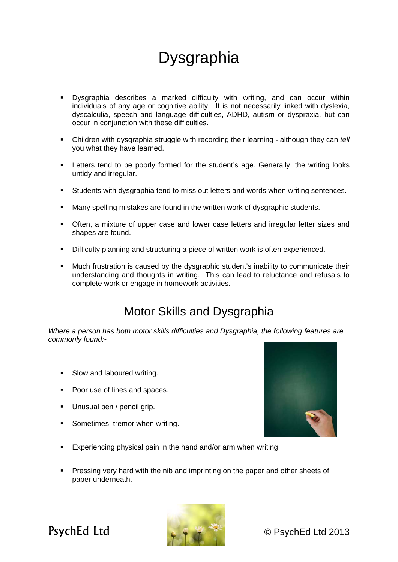## **Dysgraphia**

- Dysgraphia describes a marked difficulty with writing, and can occur within individuals of any age or cognitive ability. It is not necessarily linked with dyslexia, dyscalculia, speech and language difficulties, ADHD, autism or dyspraxia, but can occur in conjunction with these difficulties.
- Children with dysgraphia struggle with recording their learning although they can *tell*  you what they have learned.
- **EXECT** Letters tend to be poorly formed for the student's age. Generally, the writing looks untidy and irregular.
- Students with dysgraphia tend to miss out letters and words when writing sentences.
- Many spelling mistakes are found in the written work of dysgraphic students.
- Often, a mixture of upper case and lower case letters and irregular letter sizes and shapes are found.
- **•** Difficulty planning and structuring a piece of written work is often experienced.
- **Much frustration is caused by the dysgraphic student's inability to communicate their** understanding and thoughts in writing. This can lead to reluctance and refusals to complete work or engage in homework activities.

## Motor Skills and Dysgraphia

*Where a person has both motor skills difficulties and Dysgraphia, the following features are commonly found:-* 

- Slow and laboured writing.
- Poor use of lines and spaces.
- Unusual pen / pencil grip.
- Sometimes, tremor when writing.



- **Experiencing physical pain in the hand and/or arm when writing.**
- **Pressing very hard with the nib and imprinting on the paper and other sheets of** paper underneath.



PsychEd Ltd a control a control control C PsychEd Ltd 2013